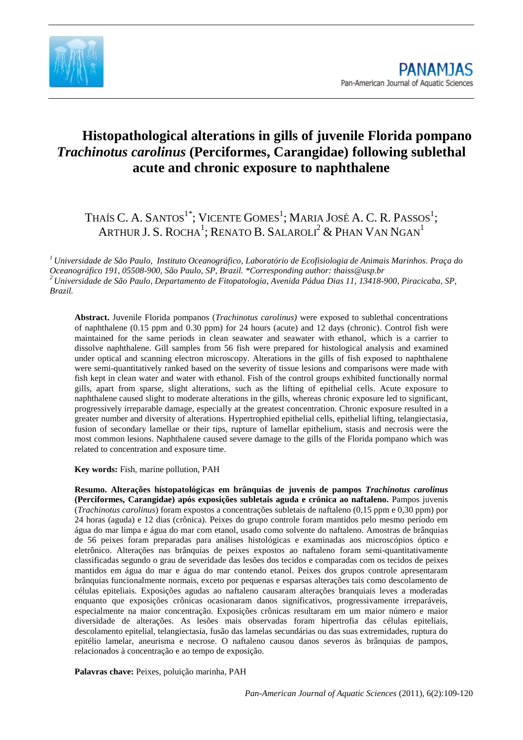

# **Histopathological alterations in gills of juvenile Florida pompano**  *Trachinotus carolinus* **(Perciformes, Carangidae) following sublethal acute and chronic exposure to naphthalene**

## Thaís C. A. Santos $^{1^\ast}$ ; Vicente Gomes $^1$ ; Maria José A. C. R. Passos $^1$ ; ARTHUR J. S. ROCHA<sup>1</sup>; RENATO B. SALAROLI $^2$  & Phan Van Ngan $^1$

*<sup>1</sup> Universidade de São Paulo, Instituto Oceanográfico, Laboratório de Ecofisiologia de Animais Marinhos. Praça do Oceanográfico 191, 05508-900, São Paulo, SP, Brazil. \*Corresponding author: thaiss@usp.br <sup>2</sup> Universidade de São Paulo, Departamento de Fitopatologia, Avenida Pádua Dias 11, 13418-900, Piracicaba, SP, Brazil.*

**Abstract.** Juvenile Florida pompanos (*Trachinotus carolinus)* were exposed to sublethal concentrations of naphthalene (0.15 ppm and 0.30 ppm) for 24 hours (acute) and 12 days (chronic). Control fish were maintained for the same periods in clean seawater and seawater with ethanol, which is a carrier to dissolve naphthalene. Gill samples from 56 fish were prepared for histological analysis and examined under optical and scanning electron microscopy. Alterations in the gills of fish exposed to naphthalene were semi-quantitatively ranked based on the severity of tissue lesions and comparisons were made with fish kept in clean water and water with ethanol. Fish of the control groups exhibited functionally normal gills, apart from sparse, slight alterations, such as the lifting of epithelial cells. Acute exposure to naphthalene caused slight to moderate alterations in the gills, whereas chronic exposure led to significant, progressively irreparable damage, especially at the greatest concentration. Chronic exposure resulted in a greater number and diversity of alterations. Hypertrophied epithelial cells, epithelial lifting, telangiectasia, fusion of secondary lamellae or their tips, rupture of lamellar epithelium, stasis and necrosis were the most common lesions. Naphthalene caused severe damage to the gills of the Florida pompano which was related to concentration and exposure time.

**Key words:** Fish, marine pollution, PAH

**Resumo. Alterações histopatológicas em brânquias de juvenis de pampos** *Trachinotus carolinus* **(Perciformes, Carangidae) após exposições subletais aguda e crônica ao naftaleno.** Pampos juvenis (*Trachinotus carolinus*) foram expostos a concentrações subletais de naftaleno (0,15 ppm e 0,30 ppm) por 24 horas (aguda) e 12 dias (crônica). Peixes do grupo controle foram mantidos pelo mesmo período em água do mar limpa e água do mar com etanol, usado como solvente do naftaleno. Amostras de brânquias de 56 peixes foram preparadas para análises histológicas e examinadas aos microscópios óptico e eletrônico. Alterações nas brânquias de peixes expostos ao naftaleno foram semi-quantitativamente classificadas segundo o grau de severidade das lesões dos tecidos e comparadas com os tecidos de peixes mantidos em água do mar e água do mar contendo etanol. Peixes dos grupos controle apresentaram brânquias funcionalmente normais, exceto por pequenas e esparsas alterações tais como descolamento de células epiteliais. Exposições agudas ao naftaleno causaram alterações branquiais leves a moderadas enquanto que exposições crônicas ocasionaram danos significativos, progressivamente irreparáveis, especialmente na maior concentração. Exposições crônicas resultaram em um maior número e maior diversidade de alterações. As lesões mais observadas foram hipertrofia das células epiteliais, descolamento epitelial, telangiectasia, fusão das lamelas secundárias ou das suas extremidades, ruptura do epitélio lamelar, aneurisma e necrose. O naftaleno causou danos severos às brânquias de pampos, relacionados à concentração e ao tempo de exposição.

**Palavras chave:** Peixes, poluição marinha, PAH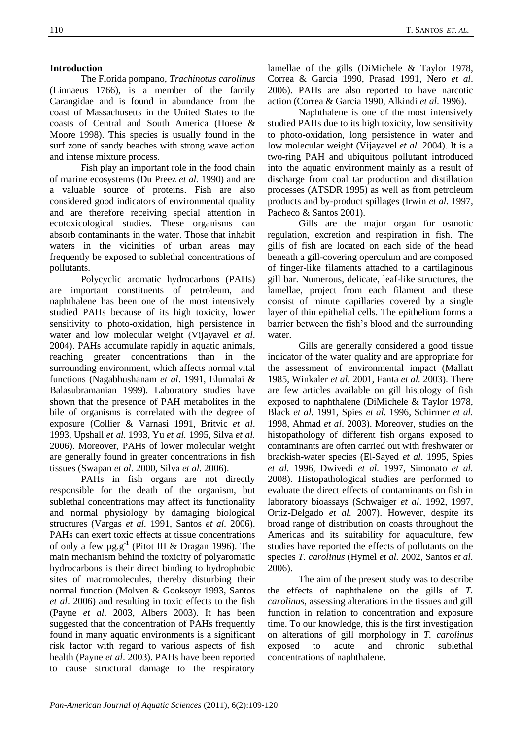## **Introduction**

The Florida pompano, *Trachinotus carolinus*  (Linnaeus 1766), is a member of the family Carangidae and is found in abundance from the coast of Massachusetts in the United States to the coasts of Central and South America (Hoese & Moore 1998). This species is usually found in the surf zone of sandy beaches with strong wave action and intense mixture process.

Fish play an important role in the food chain of marine ecosystems (Du Preez *et al.* 1990) and are a valuable source of proteins. Fish are also considered good indicators of environmental quality and are therefore receiving special attention in ecotoxicological studies. These organisms can absorb contaminants in the water. Those that inhabit waters in the vicinities of urban areas may frequently be exposed to sublethal concentrations of pollutants.

Polycyclic aromatic hydrocarbons (PAHs) are important constituents of petroleum, and naphthalene has been one of the most intensively studied PAHs because of its high toxicity, lower sensitivity to photo-oxidation, high persistence in water and low molecular weight (Vijayavel *et al*. 2004). PAHs accumulate rapidly in aquatic animals, reaching greater concentrations than in the surrounding environment, which affects normal vital functions (Nagabhushanam *et al*. 1991, Elumalai & Balasubramanian 1999). Laboratory studies have shown that the presence of PAH metabolites in the bile of organisms is correlated with the degree of exposure (Collier & Varnasi 1991, Britvic *et al*. 1993, Upshall *et al.* 1993, Yu *et al.* 1995, Silva *et al.* 2006). Moreover, PAHs of lower molecular weight are generally found in greater concentrations in fish tissues (Swapan *et al*. 2000, Silva *et al.* 2006).

PAHs in fish organs are not directly responsible for the death of the organism, but sublethal concentrations may affect its functionality and normal physiology by damaging biological structures (Vargas *et al.* 1991, Santos *et al.* 2006). PAHs can exert toxic effects at tissue concentrations of only a few  $\mu$ g.g<sup>-1</sup> (Pitot III & Dragan 1996). The main mechanism behind the toxicity of polyaromatic hydrocarbons is their direct binding to hydrophobic sites of macromolecules, thereby disturbing their normal function (Molven & Gooksoyr 1993, Santos *et al*. 2006) and resulting in toxic effects to the fish (Payne *et al*. 2003, Albers 2003). It has been suggested that the concentration of PAHs frequently found in many aquatic environments is a significant risk factor with regard to various aspects of fish health (Payne *et al*. 2003). PAHs have been reported to cause structural damage to the respiratory

lamellae of the gills (DiMichele & Taylor 1978, Correa & Garcia 1990, Prasad 1991, Nero *et al*. 2006). PAHs are also reported to have narcotic action (Correa & Garcia 1990, Alkindi *et al*. 1996).

Naphthalene is one of the most intensively studied PAHs due to its high toxicity, low sensitivity to photo-oxidation, long persistence in water and low molecular weight (Vijayavel *et al*. 2004). It is a two-ring PAH and ubiquitous pollutant introduced into the aquatic environment mainly as a result of discharge from coal tar production and distillation processes (ATSDR 1995) as well as from petroleum products and by-product spillages (Irwin *et al.* 1997, Pacheco & Santos 2001).

Gills are the major organ for osmotic regulation, excretion and respiration in fish. The gills of fish are located on each side of the head beneath a gill-covering operculum and are composed of finger-like filaments attached to a cartilaginous gill bar. Numerous, delicate, leaf-like structures, the lamellae, project from each filament and these consist of minute capillaries covered by a single layer of thin epithelial cells. The epithelium forms a barrier between the fish's blood and the surrounding water.

Gills are generally considered a good tissue indicator of the water quality and are appropriate for the assessment of environmental impact (Mallatt 1985, Winkaler *et al.* 2001, Fanta *et al.* 2003). There are few articles available on gill histology of fish exposed to naphthalene (DiMichele & Taylor 1978, Black *et al.* 1991, Spies *et al.* 1996, Schirmer *et al.* 1998, Ahmad *et al*. 2003). Moreover, studies on the histopathology of different fish organs exposed to contaminants are often carried out with freshwater or brackish-water species (El-Sayed *et al*. 1995, Spies *et al.* 1996, Dwivedi *et al.* 1997, Simonato *et al.* 2008). Histopathological studies are performed to evaluate the direct effects of contaminants on fish in laboratory bioassays (Schwaiger *et al*. 1992, 1997, Ortiz-Delgado *et al.* 2007). However, despite its broad range of distribution on coasts throughout the Americas and its suitability for aquaculture, few studies have reported the effects of pollutants on the species *T. carolinus* (Hymel *et al.* 2002, Santos *et al.* 2006).

The aim of the present study was to describe the effects of naphthalene on the gills of *T. carolinus,* assessing alterations in the tissues and gill function in relation to concentration and exposure time. To our knowledge, this is the first investigation on alterations of gill morphology in *T. carolinus* exposed to acute and chronic sublethal concentrations of naphthalene.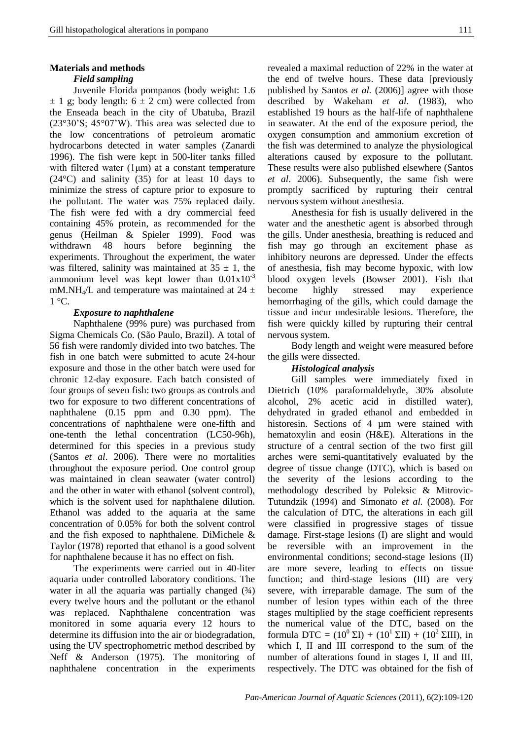#### **Materials and methods**

#### *Field sampling*

Juvenile Florida pompanos (body weight: 1.6  $\pm$  1 g; body length: 6  $\pm$  2 cm) were collected from the Enseada beach in the city of Ubatuba, Brazil (23°30'S; 45°07'W). This area was selected due to the low concentrations of petroleum aromatic hydrocarbons detected in water samples (Zanardi 1996). The fish were kept in 500-liter tanks filled with filtered water (1μm) at a constant temperature (24°C) and salinity (35) for at least 10 days to minimize the stress of capture prior to exposure to the pollutant. The water was 75% replaced daily. The fish were fed with a dry commercial feed containing 45% protein, as recommended for the genus (Heilman & Spieler 1999). Food was withdrawn 48 hours before beginning the experiments. Throughout the experiment, the water was filtered, salinity was maintained at  $35 \pm 1$ , the ammonium level was kept lower than  $0.01x10^{-3}$ mM.NH<sub>4</sub>/L and temperature was maintained at  $24 \pm$  $1^{\circ}$ C.

#### *Exposure to naphthalene*

Naphthalene (99% pure) was purchased from Sigma Chemicals Co. (São Paulo, Brazil). A total of 56 fish were randomly divided into two batches. The fish in one batch were submitted to acute 24-hour exposure and those in the other batch were used for chronic 12-day exposure. Each batch consisted of four groups of seven fish: two groups as controls and two for exposure to two different concentrations of naphthalene (0.15 ppm and 0.30 ppm). The concentrations of naphthalene were one-fifth and one-tenth the lethal concentration (LC50-96h), determined for this species in a previous study (Santos *et al*. 2006). There were no mortalities throughout the exposure period. One control group was maintained in clean seawater (water control) and the other in water with ethanol (solvent control), which is the solvent used for naphthalene dilution. Ethanol was added to the aquaria at the same concentration of 0.05% for both the solvent control and the fish exposed to naphthalene. DiMichele & Taylor (1978) reported that ethanol is a good solvent for naphthalene because it has no effect on fish.

The experiments were carried out in 40-liter aquaria under controlled laboratory conditions. The water in all the aquaria was partially changed  $(34)$ every twelve hours and the pollutant or the ethanol was replaced. Naphthalene concentration was monitored in some aquaria every 12 hours to determine its diffusion into the air or biodegradation, using the UV spectrophometric method described by Neff & Anderson (1975). The monitoring of naphthalene concentration in the experiments

revealed a maximal reduction of 22% in the water at the end of twelve hours. These data [previously published by Santos *et al.* (2006)] agree with those described by Wakeham *et al.* (1983), who established 19 hours as the half-life of naphthalene in seawater. At the end of the exposure period, the oxygen consumption and ammonium excretion of the fish was determined to analyze the physiological alterations caused by exposure to the pollutant. These results were also published elsewhere (Santos *et al*. 2006). Subsequently, the same fish were promptly sacrificed by rupturing their central nervous system without anesthesia.

Anesthesia for fish is usually delivered in the water and the anesthetic agent is absorbed through the gills. Under anesthesia, breathing is reduced and fish may go through an excitement phase as inhibitory neurons are depressed. Under the effects of anesthesia, fish may become hypoxic, with low blood oxygen levels (Bowser 2001). Fish that become highly stressed may experience hemorrhaging of the gills, which could damage the tissue and incur undesirable lesions. Therefore, the fish were quickly killed by rupturing their central nervous system.

Body length and weight were measured before the gills were dissected.

#### *Histological analysis*

Gill samples were immediately fixed in Dietrich (10% paraformaldehyde, 30% absolute alcohol, 2% acetic acid in distilled water), dehydrated in graded ethanol and embedded in historesin. Sections of 4  $\mu$ m were stained with hematoxylin and eosin (H&E). Alterations in the structure of a central section of the two first gill arches were semi-quantitatively evaluated by the degree of tissue change (DTC), which is based on the severity of the lesions according to the methodology described by Poleksic & Mitrovic-Tutundzik (1994) and Simonato *et al.* (2008). For the calculation of DTC, the alterations in each gill were classified in progressive stages of tissue damage. First-stage lesions (I) are slight and would be reversible with an improvement in the environmental conditions; second-stage lesions (II) are more severe, leading to effects on tissue function; and third-stage lesions (III) are very severe, with irreparable damage. The sum of the number of lesion types within each of the three stages multiplied by the stage coefficient represents the numerical value of the DTC, based on the formula DTC =  $(10^0 \,\Sigma I) + (10^1 \,\Sigma II) + (10^2 \,\Sigma III)$ , in which I, II and III correspond to the sum of the number of alterations found in stages I, II and III, respectively. The DTC was obtained for the fish of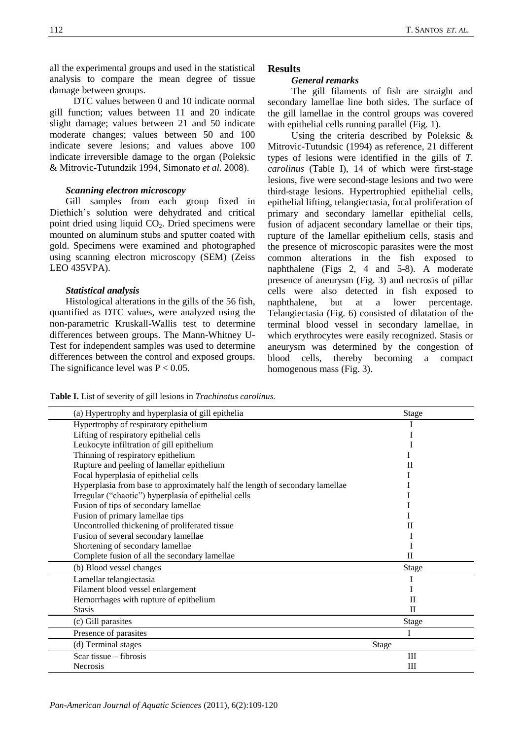all the experimental groups and used in the statistical analysis to compare the mean degree of tissue damage between groups.

DTC values between 0 and 10 indicate normal gill function; values between 11 and 20 indicate slight damage; values between 21 and 50 indicate moderate changes; values between 50 and 100 indicate severe lesions; and values above 100 indicate irreversible damage to the organ (Poleksic & Mitrovic-Tutundzik 1994, Simonato *et al.* 2008).

## *Scanning electron microscopy*

Gill samples from each group fixed in Diethich's solution were dehydrated and critical point dried using liquid  $CO<sub>2</sub>$ . Dried specimens were mounted on aluminum stubs and sputter coated with gold. Specimens were examined and photographed using scanning electron microscopy (SEM) (Zeiss LEO 435VPA).

#### *Statistical analysis*

Histological alterations in the gills of the 56 fish, quantified as DTC values, were analyzed using the non-parametric Kruskall-Wallis test to determine differences between groups. The Mann-Whitney U-Test for independent samples was used to determine differences between the control and exposed groups. The significance level was  $P < 0.05$ .

## **Results**

## *General remarks*

The gill filaments of fish are straight and secondary lamellae line both sides. The surface of the gill lamellae in the control groups was covered with epithelial cells running parallel (Fig. 1).

Using the criteria described by Poleksic & Mitrovic-Tutundsic (1994) as reference, 21 different types of lesions were identified in the gills of *T. carolinus* (Table I), 14 of which were first-stage lesions, five were second-stage lesions and two were third-stage lesions. Hypertrophied epithelial cells, epithelial lifting, telangiectasia, focal proliferation of primary and secondary lamellar epithelial cells, fusion of adjacent secondary lamellae or their tips, rupture of the lamellar epithelium cells, stasis and the presence of microscopic parasites were the most common alterations in the fish exposed to naphthalene (Figs 2, 4 and 5-8). A moderate presence of aneurysm (Fig. 3) and necrosis of pillar cells were also detected in fish exposed to naphthalene, but at a lower percentage. Telangiectasia (Fig. 6) consisted of dilatation of the terminal blood vessel in secondary lamellae, in which erythrocytes were easily recognized. Stasis or aneurysm was determined by the congestion of blood cells, thereby becoming a compact homogenous mass (Fig. 3).

**Table I.** List of severity of gill lesions in *Trachinotus carolinus.*

| (a) Hypertrophy and hyperplasia of gill epithelia                            | Stage                            |
|------------------------------------------------------------------------------|----------------------------------|
| Hypertrophy of respiratory epithelium                                        |                                  |
| Lifting of respiratory epithelial cells                                      |                                  |
| Leukocyte infiltration of gill epithelium                                    |                                  |
| Thinning of respiratory epithelium                                           |                                  |
| Rupture and peeling of lamellar epithelium                                   | П                                |
| Focal hyperplasia of epithelial cells                                        |                                  |
| Hyperplasia from base to approximately half the length of secondary lamellae |                                  |
| Irregular ("chaotic") hyperplasia of epithelial cells                        |                                  |
| Fusion of tips of secondary lamellae                                         |                                  |
| Fusion of primary lamellae tips                                              |                                  |
| Uncontrolled thickening of proliferated tissue                               | П                                |
| Fusion of several secondary lamellae                                         |                                  |
| Shortening of secondary lamellae                                             |                                  |
| Complete fusion of all the secondary lamellae                                | $\mathbf{I}$                     |
| (b) Blood vessel changes                                                     | Stage                            |
| Lamellar telangiectasia                                                      |                                  |
| Filament blood vessel enlargement                                            |                                  |
| Hemorrhages with rupture of epithelium                                       | $_{\rm II}$                      |
| <b>Stasis</b>                                                                | $\mathbf{I}$                     |
| (c) Gill parasites                                                           | Stage                            |
| Presence of parasites                                                        |                                  |
| (d) Terminal stages                                                          | <b>Stage</b>                     |
| Scar tissue $-$ fibrosis                                                     | $\mathop{\mathrm{III}}\nolimits$ |
| <b>Necrosis</b>                                                              | Ш                                |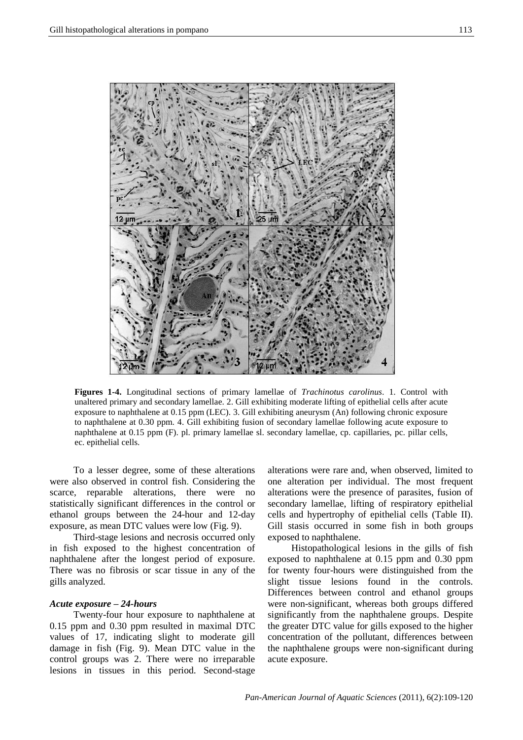

**Figures 1-4.** Longitudinal sections of primary lamellae of *Trachinotus carolinus*. 1. Control with unaltered primary and secondary lamellae. 2. Gill exhibiting moderate lifting of epithelial cells after acute exposure to naphthalene at 0.15 ppm (LEC). 3. Gill exhibiting aneurysm (An) following chronic exposure to naphthalene at 0.30 ppm. 4. Gill exhibiting fusion of secondary lamellae following acute exposure to naphthalene at 0.15 ppm (F). pl. primary lamellae sl. secondary lamellae, cp. capillaries, pc. pillar cells, ec. epithelial cells.

To a lesser degree, some of these alterations were also observed in control fish. Considering the scarce, reparable alterations, there were no statistically significant differences in the control or ethanol groups between the 24-hour and 12-day exposure, as mean DTC values were low (Fig. 9).

Third-stage lesions and necrosis occurred only in fish exposed to the highest concentration of naphthalene after the longest period of exposure. There was no fibrosis or scar tissue in any of the gills analyzed.

#### *Acute exposure – 24-hours*

Twenty-four hour exposure to naphthalene at 0.15 ppm and 0.30 ppm resulted in maximal DTC values of 17, indicating slight to moderate gill damage in fish (Fig. 9). Mean DTC value in the control groups was 2. There were no irreparable lesions in tissues in this period. Second-stage

alterations were rare and, when observed, limited to one alteration per individual. The most frequent alterations were the presence of parasites, fusion of secondary lamellae, lifting of respiratory epithelial cells and hypertrophy of epithelial cells (Table II). Gill stasis occurred in some fish in both groups exposed to naphthalene.

Histopathological lesions in the gills of fish exposed to naphthalene at 0.15 ppm and 0.30 ppm for twenty four-hours were distinguished from the slight tissue lesions found in the controls. Differences between control and ethanol groups were non-significant, whereas both groups differed significantly from the naphthalene groups. Despite the greater DTC value for gills exposed to the higher concentration of the pollutant, differences between the naphthalene groups were non-significant during acute exposure.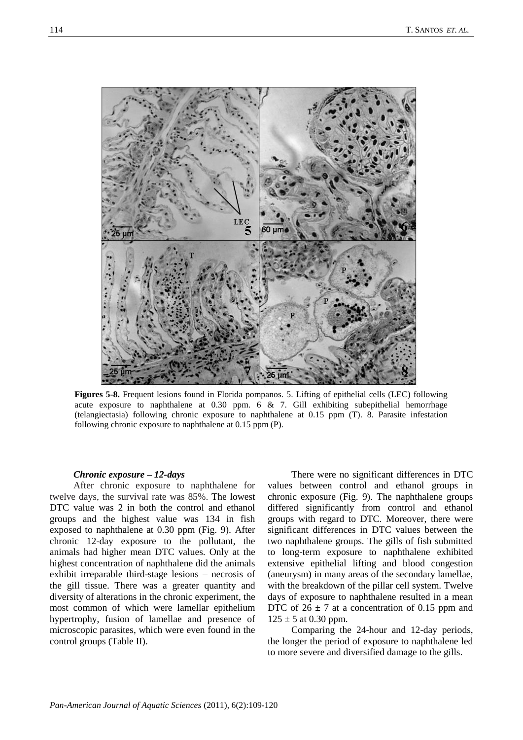

**Figures 5-8.** Frequent lesions found in Florida pompanos. 5. Lifting of epithelial cells (LEC) following acute exposure to naphthalene at  $0.30$  ppm. 6 & 7. Gill exhibiting subepithelial hemorrhage (telangiectasia) following chronic exposure to naphthalene at 0.15 ppm (T). 8. Parasite infestation following chronic exposure to naphthalene at 0.15 ppm (P).

### *Chronic exposure – 12-days*

After chronic exposure to naphthalene for twelve days, the survival rate was 85%. The lowest DTC value was 2 in both the control and ethanol groups and the highest value was 134 in fish exposed to naphthalene at 0.30 ppm (Fig. 9). After chronic 12-day exposure to the pollutant, the animals had higher mean DTC values. Only at the highest concentration of naphthalene did the animals exhibit irreparable third-stage lesions – necrosis of the gill tissue. There was a greater quantity and diversity of alterations in the chronic experiment, the most common of which were lamellar epithelium hypertrophy, fusion of lamellae and presence of microscopic parasites, which were even found in the control groups (Table II).

There were no significant differences in DTC values between control and ethanol groups in chronic exposure (Fig. 9). The naphthalene groups differed significantly from control and ethanol groups with regard to DTC. Moreover, there were significant differences in DTC values between the two naphthalene groups. The gills of fish submitted to long-term exposure to naphthalene exhibited extensive epithelial lifting and blood congestion (aneurysm) in many areas of the secondary lamellae, with the breakdown of the pillar cell system. Twelve days of exposure to naphthalene resulted in a mean DTC of  $26 \pm 7$  at a concentration of 0.15 ppm and  $125 \pm 5$  at 0.30 ppm.

Comparing the 24-hour and 12-day periods, the longer the period of exposure to naphthalene led to more severe and diversified damage to the gills.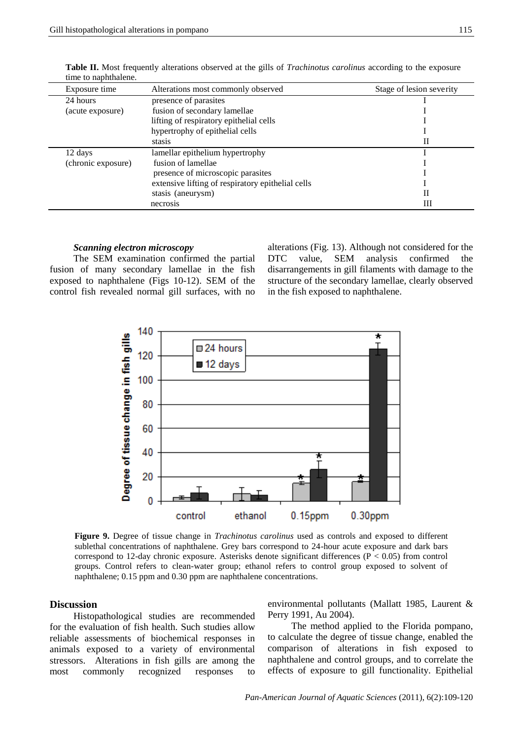| Exposure time      | Alterations most commonly observed                | Stage of lesion severity |
|--------------------|---------------------------------------------------|--------------------------|
| 24 hours           | presence of parasites                             |                          |
| (acute exposure)   | fusion of secondary lamellae                      |                          |
|                    | lifting of respiratory epithelial cells           |                          |
|                    | hypertrophy of epithelial cells                   |                          |
|                    | stasis                                            | П                        |
| 12 days            | lamellar epithelium hypertrophy                   |                          |
| (chronic exposure) | fusion of lamellae                                |                          |
|                    | presence of microscopic parasites                 |                          |
|                    | extensive lifting of respiratory epithelial cells |                          |
|                    | stasis (aneurysm)                                 | П                        |
|                    | necrosis                                          | Ш                        |

**Table II.** Most frequently alterations observed at the gills of *Trachinotus carolinus* according to the exposure time to naphthalene.

#### *Scanning electron microscopy*

The SEM examination confirmed the partial fusion of many secondary lamellae in the fish exposed to naphthalene (Figs 10-12). SEM of the control fish revealed normal gill surfaces, with no

alterations (Fig. 13). Although not considered for the<br>DTC value, SEM analysis confirmed the DTC value, SEM analysis confirmed the disarrangements in gill filaments with damage to the structure of the secondary lamellae, clearly observed in the fish exposed to naphthalene.



**Figure 9.** Degree of tissue change in *Trachinotus carolinus* used as controls and exposed to different sublethal concentrations of naphthalene. Grey bars correspond to 24-hour acute exposure and dark bars correspond to 12-day chronic exposure. Asterisks denote significant differences ( $P < 0.05$ ) from control groups. Control refers to clean-water group; ethanol refers to control group exposed to solvent of naphthalene; 0.15 ppm and 0.30 ppm are naphthalene concentrations.

## **Discussion**

Histopathological studies are recommended for the evaluation of fish health. Such studies allow reliable assessments of biochemical responses in animals exposed to a variety of environmental stressors. Alterations in fish gills are among the most commonly recognized responses to

environmental pollutants (Mallatt 1985, Laurent & Perry 1991, Au 2004).

The method applied to the Florida pompano, to calculate the degree of tissue change, enabled the comparison of alterations in fish exposed to naphthalene and control groups, and to correlate the effects of exposure to gill functionality. Epithelial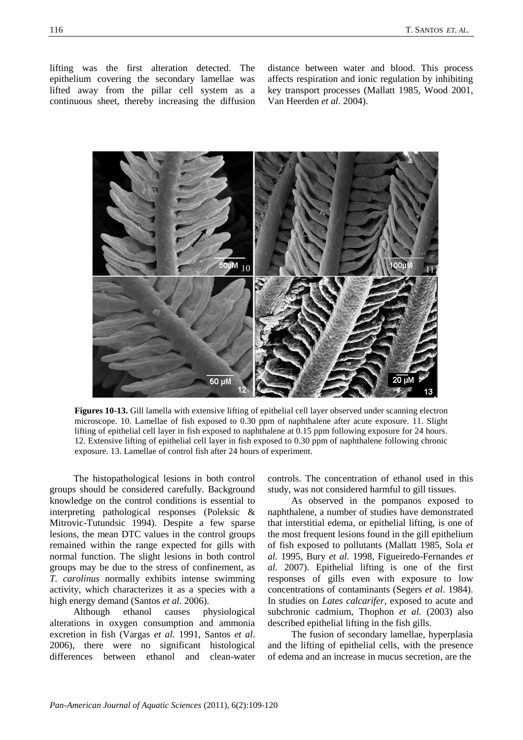lifting was the first alteration detected. The epithelium covering the secondary lamellae was lifted away from the pillar cell system as a continuous sheet, thereby increasing the diffusion

distance between water and blood. This process affects respiration and ionic regulation by inhibiting key transport processes (Mallatt 1985, Wood 2001, Van Heerden *et al*. 2004).



**Figures 10-13.** Gill lamella with extensive lifting of epithelial cell layer observed under scanning electron microscope. 10. Lamellae of fish exposed to 0.30 ppm of naphthalene after acute exposure. 11. Slight lifting of epithelial cell layer in fish exposed to naphthalene at 0.15 ppm following exposure for 24 hours. 12. Extensive lifting of epithelial cell layer in fish exposed to 0.30 ppm of naphthalene following chronic exposure. 13. Lamellae of control fish after 24 hours of experiment.

The histopathological lesions in both control groups should be considered carefully. Background knowledge on the control conditions is essential to interpreting pathological responses (Poleksic & Mitrovic-Tutundsic 1994). Despite a few sparse lesions, the mean DTC values in the control groups remained within the range expected for gills with normal function. The slight lesions in both control groups may be due to the stress of confinement, as *T. carolinus* normally exhibits intense swimming activity, which characterizes it as a species with a high energy demand (Santos *et al*. 2006).

Although ethanol causes physiological alterations in oxygen consumption and ammonia excretion in fish (Vargas *et al.* 1991, Santos *et al*. 2006), there were no significant histological differences between ethanol and clean-water controls. The concentration of ethanol used in this study, was not considered harmful to gill tissues.

As observed in the pompanos exposed to naphthalene, a number of studies have demonstrated that interstitial edema, or epithelial lifting, is one of the most frequent lesions found in the gill epithelium of fish exposed to pollutants (Mallatt 1985, Sola *et al.* 1995, Bury *et al.* 1998, Figueiredo-Fernandes *et al.* 2007). Epithelial lifting is one of the first responses of gills even with exposure to low concentrations of contaminants (Segers *et al*. 1984). In studies on *Lates calcarifer,* exposed to acute and subchronic cadmium, Thophon *et al.* (2003) also described epithelial lifting in the fish gills.

The fusion of secondary lamellae, hyperplasia and the lifting of epithelial cells, with the presence of edema and an increase in mucus secretion, are the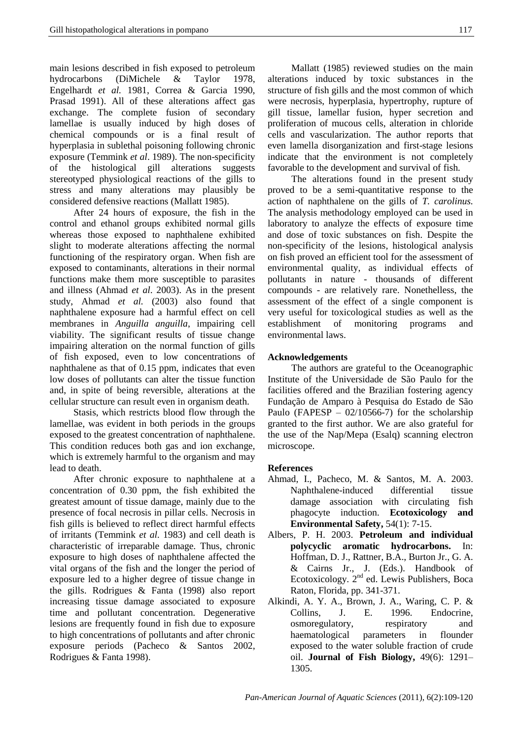main lesions described in fish exposed to petroleum hydrocarbons (DiMichele & Taylor 1978, Engelhardt *et al.* 1981, Correa & Garcia 1990, Prasad 1991). All of these alterations affect gas exchange. The complete fusion of secondary lamellae is usually induced by high doses of chemical compounds or is a final result of hyperplasia in sublethal poisoning following chronic exposure (Temmink *et al*. 1989). The non-specificity of the histological gill alterations suggests stereotyped physiological reactions of the gills to stress and many alterations may plausibly be considered defensive reactions (Mallatt 1985).

After 24 hours of exposure, the fish in the control and ethanol groups exhibited normal gills whereas those exposed to naphthalene exhibited slight to moderate alterations affecting the normal functioning of the respiratory organ. When fish are exposed to contaminants, alterations in their normal functions make them more susceptible to parasites and illness (Ahmad *et al*. 2003). As in the present study, Ahmad *et al.* (2003) also found that naphthalene exposure had a harmful effect on cell membranes in *Anguilla anguilla*, impairing cell viability. The significant results of tissue change impairing alteration on the normal function of gills of fish exposed, even to low concentrations of naphthalene as that of 0.15 ppm, indicates that even low doses of pollutants can alter the tissue function and, in spite of being reversible, alterations at the cellular structure can result even in organism death.

Stasis, which restricts blood flow through the lamellae, was evident in both periods in the groups exposed to the greatest concentration of naphthalene. This condition reduces both gas and ion exchange, which is extremely harmful to the organism and may lead to death.

After chronic exposure to naphthalene at a concentration of 0.30 ppm, the fish exhibited the greatest amount of tissue damage, mainly due to the presence of focal necrosis in pillar cells. Necrosis in fish gills is believed to reflect direct harmful effects of irritants (Temmink *et al*. 1983) and cell death is characteristic of irreparable damage. Thus, chronic exposure to high doses of naphthalene affected the vital organs of the fish and the longer the period of exposure led to a higher degree of tissue change in the gills. Rodrigues & Fanta (1998) also report increasing tissue damage associated to exposure time and pollutant concentration. Degenerative lesions are frequently found in fish due to exposure to high concentrations of pollutants and after chronic exposure periods (Pacheco & Santos 2002, Rodrigues & Fanta 1998).

Mallatt (1985) reviewed studies on the main alterations induced by toxic substances in the structure of fish gills and the most common of which were necrosis, hyperplasia, hypertrophy, rupture of gill tissue, lamellar fusion, hyper secretion and proliferation of mucous cells, alteration in chloride cells and vascularization. The author reports that even lamella disorganization and first-stage lesions indicate that the environment is not completely favorable to the development and survival of fish.

The alterations found in the present study proved to be a semi-quantitative response to the action of naphthalene on the gills of *T. carolinus.* The analysis methodology employed can be used in laboratory to analyze the effects of exposure time and dose of toxic substances on fish. Despite the non-specificity of the lesions, histological analysis on fish proved an efficient tool for the assessment of environmental quality, as individual effects of pollutants in nature - thousands of different compounds - are relatively rare. Nonethelless, the assessment of the effect of a single component is very useful for toxicological studies as well as the establishment of monitoring programs and environmental laws.

## **Acknowledgements**

The authors are grateful to the Oceanographic Institute of the Universidade de São Paulo for the facilities offered and the Brazilian fostering agency Fundação de Amparo à Pesquisa do Estado de São Paulo (FAPESP –  $02/10566-7$ ) for the scholarship granted to the first author. We are also grateful for the use of the Nap/Mepa (Esalq) scanning electron microscope.

## **References**

- Ahmad, I., Pacheco, M. & Santos, M. A. 2003. Naphthalene-induced differential tissue damage association with circulating fish phagocyte induction. **Ecotoxicology and Environmental Safety,** 54(1): 7-15.
- Albers, P. H. 2003. **Petroleum and individual polycyclic aromatic hydrocarbons.** In: Hoffman, D. J., Rattner, B.A., Burton Jr., G. A. & Cairns Jr., J. (Eds.). Handbook of Ecotoxicology. 2<sup>nd</sup> ed. Lewis Publishers, Boca Raton, Florida, pp. 341-371.
- Alkindi, A. Y. A., Brown, J. A., Waring, C. P. & Collins, J. E. 1996. Endocrine, osmoregulatory, respiratory and haematological parameters in flounder exposed to the water soluble fraction of crude oil. **Journal of Fish Biology,** 49(6): 1291– 1305.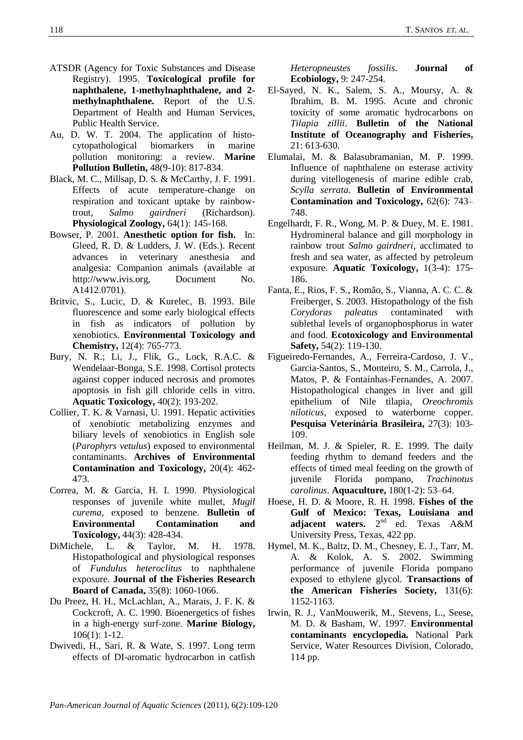- ATSDR (Agency for Toxic Substances and Disease Registry). 1995. **Toxicological profile for naphthalene, 1-methylnaphthalene, and 2 methylnaphthalene***.* Report of the U.S. Department of Health and Human Services, Public Health Service.
- Au, D. W. T. 2004. The application of histocytopathological biomarkers in marine pollution monitoring: a review. **Marine Pollution Bulletin,** 48(9-10): 817-834.
- Black, M. C., Millsap, D. S. & McCarthy, J. F. 1991. Effects of acute temperature-change on respiration and toxicant uptake by rainbowtrout, *Salmo gairdneri* (Richardson). **Physiological Zoology,** 64(1): 145-168.
- Bowser, P. 2001. **Anesthetic option for fish.** In: Gleed, R. D. & Ludders, J. W. (Eds.). Recent advances in veterinary anesthesia and analgesia: Companion animals (available at http://www.ivis.org, Document No. A1412.0701).
- Britvic, S., Lucic, D. & Kurelec, B. 1993. Bile fluorescence and some early biological effects in fish as indicators of pollution by xenobiotics. **Environmental Toxicology and Chemistry,** 12(4): 765-773.
- Bury, N. R.; Li, J., Flik, G., Lock, R.A.C. & Wendelaar-Bonga, S.E. 1998. Cortisol protects against copper induced necrosis and promotes apoptosis in fish gill chloride cells in vitro. **Aquatic Toxicology,** 40(2): 193-202.
- Collier, T. K. & Varnasi, U. 1991. Hepatic activities of xenobiotic metabolizing enzymes and biliary levels of xenobiotics in English sole (*Parophyrs vetulus*) exposed to environmental contaminants. **Archives of Environmental Contamination and Toxicology,** 20(4): 462- 473.
- Correa, M. & Garcia, H. I. 1990. Physiological responses of juvenile white mullet, *Mugil curema*, exposed to benzene. **Bulletin of Environmental Contamination and Toxicology,** 44(3): 428-434.
- DiMichele, L. & Taylor, M. H. 1978. Histopathological and physiological responses of *Fundulus heteroclitus* to naphthalene exposure. **Journal of the Fisheries Research Board of Canada,** 35(8): 1060-1066.
- Du Preez, H. H., McLachlan, A., Marais, J. F. K. & Cockcroft, A. C. 1990. Bioenergetics of fishes in a high-energy surf-zone. **Marine Biology,** 106(1): 1-12.
- Dwivedi, H., Sari, R. & Wate, S. 1997. Long term effects of DI-aromatic hydrocarbon in catfish

*Heteropneustes fossilis.* **Journal of Ecobiology,** 9: 247-254.

- El-Sayed, N. K., Salem, S. A., Moursy, A. & Ibrahim, B. M. 1995. Acute and chronic toxicity of some aromatic hydrocarbons on *Tilapia zillii*. **Bulletin of the National Institute of Oceanography and Fisheries,** 21: 613-630.
- Elumalai, M. & Balasubramanian, M. P. 1999. Influence of naphthalene on esterase activity during vitellogenesis of marine edible crab, *Scylla serrata*. **Bulletin of Environmental Contamination and Toxicology,** 62(6): 743– 748.
- Engelhardt, F. R., Wong, M. P. & Duey, M. E. 1981. Hydromineral balance and gill morphology in rainbow trout *Salmo gairdneri*, acclimated to fresh and sea water, as affected by petroleum exposure. **Aquatic Toxicology,** 1(3-4): 175- 186.
- Fanta, E., Rios, F. S., Romão, S., Vianna, A. C. C. & Freiberger, S. 2003. Histopathology of the fish *Corydoras paleatus* contaminated with sublethal levels of organophosphorus in water and food. **Ecotoxicology and Environmental Safety,** 54(2): 119-130.
- Figueiredo-Fernandes, A., Ferreira-Cardoso, J. V., Garcia-Santos, S., Monteiro, S. M., Carrola, J., Matos, P. & Fontaínhas-Fernandes, A. 2007. Histopathological changes in liver and gill epithelium of Nile tilapia, *Oreochromis niloticus*, exposed to waterborne copper. **Pesquisa Veterinária Brasileira,** 27(3): 103- 109.
- Heilman, M. J. & Spieler, R. E. 1999. The daily feeding rhythm to demand feeders and the effects of timed meal feeding on the growth of juvenile Florida pompano, *Trachinotus carolinus*. **Aquaculture,** 180(1-2): 53–64.
- Hoese, H. D. & Moore, R. H. 1998. **Fishes of the Gulf of Mexico: Texas, Louisiana and**  adjacent waters. 2<sup>nd</sup> ed. Texas A&M University Press, Texas, 422 pp.
- Hymel, M. K., Baltz, D. M., Chesney, E. J., Tarr, M. A. & Kolok, A. S. 2002. Swimming performance of juvenile Florida pompano exposed to ethylene glycol. **Transactions of the American Fisheries Society,** 131(6): 1152-1163.
- Irwin, R. J., VanMouwerik, M., Stevens, L., Seese, M. D. & Basham, W. 1997. **Environmental contaminants encyclopedia***.* National Park Service, Water Resources Division, Colorado, 114 pp.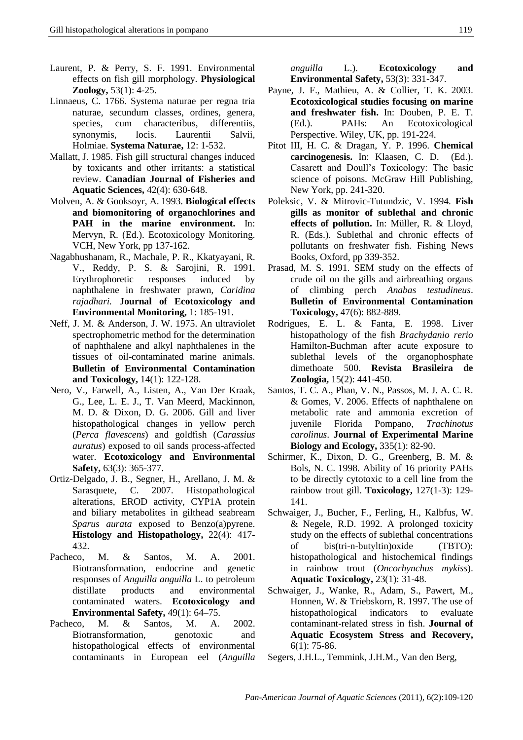- Laurent, P. & Perry, S. F. 1991. Environmental effects on fish gill morphology. **Physiological Zoology,** 53(1): 4-25.
- Linnaeus, C. 1766. Systema naturae per regna tria naturae, secundum classes, ordines, genera, species, cum characteribus, differentiis, synonymis, locis. Laurentii Salvii, Holmiae. **Systema Naturae,** 12: 1-532.
- Mallatt, J. 1985. Fish gill structural changes induced by toxicants and other irritants: a statistical review. **Canadian Journal of Fisheries and Aquatic Sciences,** 42(4): 630-648.
- Molven, A. & Gooksoyr, A. 1993. **Biological effects and biomonitoring of organochlorines and PAH in the marine environment.** In: Mervyn, R. (Ed.). Ecotoxicology Monitoring. VCH, New York, pp 137-162.
- Nagabhushanam, R., Machale, P. R., Kkatyayani, R. V., Reddy, P. S. & Sarojini, R. 1991. Erythrophoretic responses induced by naphthalene in freshwater prawn, *Caridina rajadhari.* **Journal of Ecotoxicology and Environmental Monitoring,** 1: 185-191.
- Neff, J. M. & Anderson, J. W. 1975. An ultraviolet spectrophometric method for the determination of naphthalene and alkyl naphthalenes in the tissues of oil-contaminated marine animals. **Bulletin of Environmental Contamination and Toxicology,** 14(1): 122-128.
- Nero, V., Farwell, A., Listen, A., Van Der Kraak, G., Lee, L. E. J., T. Van Meerd, Mackinnon, M. D. & Dixon, D. G. 2006. Gill and liver histopathological changes in yellow perch (*Perca flavescens*) and goldfish (*Carassius auratus*) exposed to oil sands process-affected water. **Ecotoxicology and Environmental Safety,** 63(3): 365-377.
- Ortiz-Delgado, J. B., Segner, H., Arellano, J. M. & Sarasquete, C. 2007. Histopathological alterations, EROD activity, CYP1A protein and biliary metabolites in gilthead seabream *Sparus aurata* exposed to Benzo(a)pyrene. **Histology and Histopathology,** 22(4): 417- 432.
- Pacheco, M. & Santos, M. A. 2001. Biotransformation, endocrine and genetic responses of *Anguilla anguilla* L. to petroleum distillate products and environmental contaminated waters. **Ecotoxicology and Environmental Safety,** 49(1): 64–75.
- Pacheco, M. & Santos, M. A. 2002. Biotransformation, genotoxic and histopathological effects of environmental contaminants in European eel (*Anguilla*

*anguilla* L.). **Ecotoxicology and Environmental Safety,** 53(3): 331-347.

- Payne, J. F., Mathieu, A. & Collier, T. K. 2003. **Ecotoxicological studies focusing on marine and freshwater fish.** In: Douben, P. E. T. (Ed.). PAHs: An Ecotoxicological Perspective. Wiley, UK, pp. 191-224.
- Pitot III, H. C. & Dragan, Y. P. 1996. **Chemical carcinogenesis.** In: Klaasen, C. D. (Ed.). Casarett and Doull's Toxicology: The basic science of poisons. McGraw Hill Publishing, New York, pp. 241-320.
- Poleksic, V. & Mitrovic-Tutundzic, V. 1994. **Fish gills as monitor of sublethal and chronic effects of pollution.** In: Müller, R. & Lloyd, R. (Eds.). Sublethal and chronic effects of pollutants on freshwater fish. Fishing News Books, Oxford, pp 339-352.
- Prasad, M. S. 1991. SEM study on the effects of crude oil on the gills and airbreathing organs of climbing perch *Anabas testudineus*. **Bulletin of Environmental Contamination Toxicology,** 47(6): 882-889.
- Rodrigues, E. L. & Fanta, E. 1998. Liver histopathology of the fish *Brachydanio rerio* Hamilton-Buchman after acute exposure to sublethal levels of the organophosphate dimethoate 500. **Revista Brasileira de Zoologia,** 15(2): 441-450.
- Santos, T. C. A., Phan, V. N., Passos, M. J. A. C. R. & Gomes, V. 2006. Effects of naphthalene on metabolic rate and ammonia excretion of juvenile Florida Pompano, *Trachinotus carolinus*. **Journal of Experimental Marine Biology and Ecology,** 335(1): 82-90.
- Schirmer, K., Dixon, D. G., Greenberg, B. M. & Bols, N. C. 1998. Ability of 16 priority PAHs to be directly cytotoxic to a cell line from the rainbow trout gill. **Toxicology,** 127(1-3): 129- 141.
- Schwaiger, J., Bucher, F., Ferling, H., Kalbfus, W. & Negele, R.D. 1992. A prolonged toxicity study on the effects of sublethal concentrations of bis(tri-n-butyltin)oxide (TBTO): histopathological and histochemical findings in rainbow trout (*Oncorhynchus mykiss*). **Aquatic Toxicology,** 23(1): 31-48.
- Schwaiger, J., Wanke, R., Adam, S., Pawert, M., Honnen, W. & Triebskorn, R. 1997. The use of histopathological indicators to evaluate contaminant-related stress in fish. **Journal of Aquatic Ecosystem Stress and Recovery,** 6(1): 75-86.
- Segers, J.H.L., Temmink, J.H.M., Van den Berg,